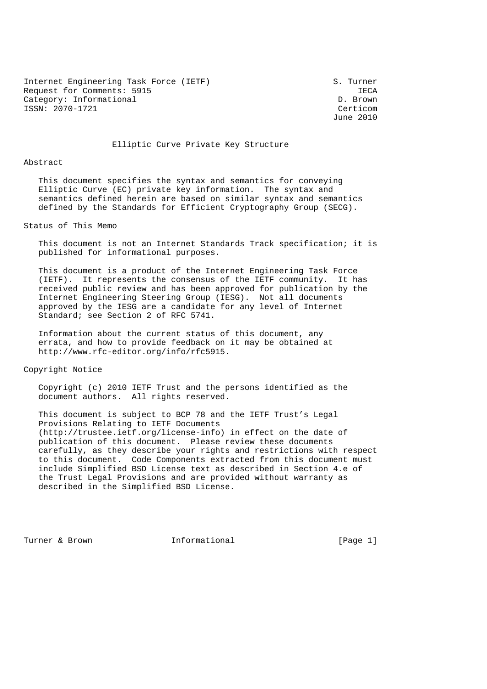Internet Engineering Task Force (IETF) S. Turner Request for Comments: 5915<br>Category: Informational and Category: Informational Category: Informational ISSN: 2070-1721 Certicom

June 2010

## Elliptic Curve Private Key Structure

#### Abstract

 This document specifies the syntax and semantics for conveying Elliptic Curve (EC) private key information. The syntax and semantics defined herein are based on similar syntax and semantics defined by the Standards for Efficient Cryptography Group (SECG).

Status of This Memo

 This document is not an Internet Standards Track specification; it is published for informational purposes.

 This document is a product of the Internet Engineering Task Force (IETF). It represents the consensus of the IETF community. It has received public review and has been approved for publication by the Internet Engineering Steering Group (IESG). Not all documents approved by the IESG are a candidate for any level of Internet Standard; see Section 2 of RFC 5741.

 Information about the current status of this document, any errata, and how to provide feedback on it may be obtained at http://www.rfc-editor.org/info/rfc5915.

Copyright Notice

 Copyright (c) 2010 IETF Trust and the persons identified as the document authors. All rights reserved.

 This document is subject to BCP 78 and the IETF Trust's Legal Provisions Relating to IETF Documents (http://trustee.ietf.org/license-info) in effect on the date of publication of this document. Please review these documents carefully, as they describe your rights and restrictions with respect to this document. Code Components extracted from this document must include Simplified BSD License text as described in Section 4.e of the Trust Legal Provisions and are provided without warranty as described in the Simplified BSD License.

Turner & Brown **Informational** [Page 1]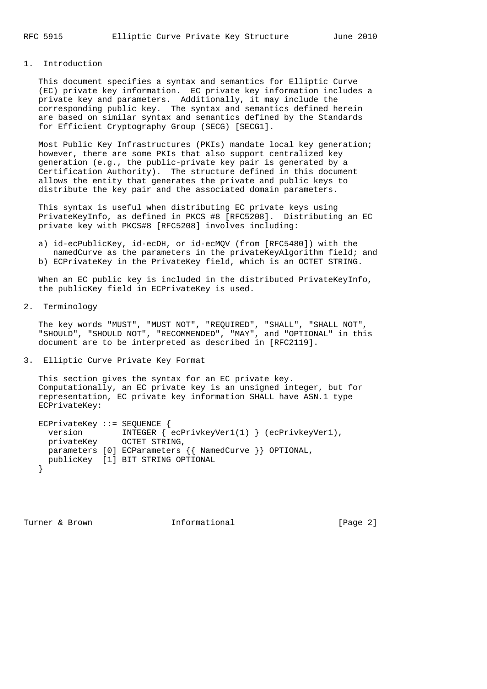# 1. Introduction

 This document specifies a syntax and semantics for Elliptic Curve (EC) private key information. EC private key information includes a private key and parameters. Additionally, it may include the corresponding public key. The syntax and semantics defined herein are based on similar syntax and semantics defined by the Standards for Efficient Cryptography Group (SECG) [SECG1].

 Most Public Key Infrastructures (PKIs) mandate local key generation; however, there are some PKIs that also support centralized key generation (e.g., the public-private key pair is generated by a Certification Authority). The structure defined in this document allows the entity that generates the private and public keys to distribute the key pair and the associated domain parameters.

 This syntax is useful when distributing EC private keys using PrivateKeyInfo, as defined in PKCS #8 [RFC5208]. Distributing an EC private key with PKCS#8 [RFC5208] involves including:

 a) id-ecPublicKey, id-ecDH, or id-ecMQV (from [RFC5480]) with the namedCurve as the parameters in the privateKeyAlgorithm field; and b) ECPrivateKey in the PrivateKey field, which is an OCTET STRING.

When an EC public key is included in the distributed PrivateKeyInfo, the publicKey field in ECPrivateKey is used.

2. Terminology

 The key words "MUST", "MUST NOT", "REQUIRED", "SHALL", "SHALL NOT", "SHOULD", "SHOULD NOT", "RECOMMENDED", "MAY", and "OPTIONAL" in this document are to be interpreted as described in [RFC2119].

3. Elliptic Curve Private Key Format

 This section gives the syntax for an EC private key. Computationally, an EC private key is an unsigned integer, but for representation, EC private key information SHALL have ASN.1 type ECPrivateKey:

```
 ECPrivateKey ::= SEQUENCE {
version INTEGER { ecPrivkeyVer1(1) } (ecPrivkeyVer1),
privateKey OCTET STRING,
   parameters [0] ECParameters {{ NamedCurve }} OPTIONAL,
   publicKey [1] BIT STRING OPTIONAL
  }
```
Turner & Brown **Informational** [Page 2]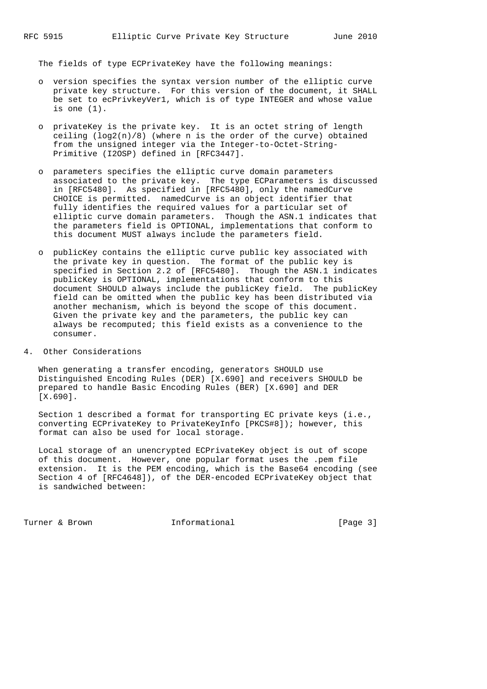The fields of type ECPrivateKey have the following meanings:

- o version specifies the syntax version number of the elliptic curve private key structure. For this version of the document, it SHALL be set to ecPrivkeyVer1, which is of type INTEGER and whose value is one (1).
- o privateKey is the private key. It is an octet string of length ceiling  $(\log(2(n)/8))$  (where n is the order of the curve) obtained from the unsigned integer via the Integer-to-Octet-String- Primitive (I2OSP) defined in [RFC3447].
- o parameters specifies the elliptic curve domain parameters associated to the private key. The type ECParameters is discussed in [RFC5480]. As specified in [RFC5480], only the namedCurve CHOICE is permitted. namedCurve is an object identifier that fully identifies the required values for a particular set of elliptic curve domain parameters. Though the ASN.1 indicates that the parameters field is OPTIONAL, implementations that conform to this document MUST always include the parameters field.
	- o publicKey contains the elliptic curve public key associated with the private key in question. The format of the public key is specified in Section 2.2 of [RFC5480]. Though the ASN.1 indicates publicKey is OPTIONAL, implementations that conform to this document SHOULD always include the publicKey field. The publicKey field can be omitted when the public key has been distributed via another mechanism, which is beyond the scope of this document. Given the private key and the parameters, the public key can always be recomputed; this field exists as a convenience to the consumer.
- 4. Other Considerations

 When generating a transfer encoding, generators SHOULD use Distinguished Encoding Rules (DER) [X.690] and receivers SHOULD be prepared to handle Basic Encoding Rules (BER) [X.690] and DER [X.690].

 Section 1 described a format for transporting EC private keys (i.e., converting ECPrivateKey to PrivateKeyInfo [PKCS#8]); however, this format can also be used for local storage.

 Local storage of an unencrypted ECPrivateKey object is out of scope of this document. However, one popular format uses the .pem file extension. It is the PEM encoding, which is the Base64 encoding (see Section 4 of [RFC4648]), of the DER-encoded ECPrivateKey object that is sandwiched between:

Turner & Brown **Informational** [Page 3]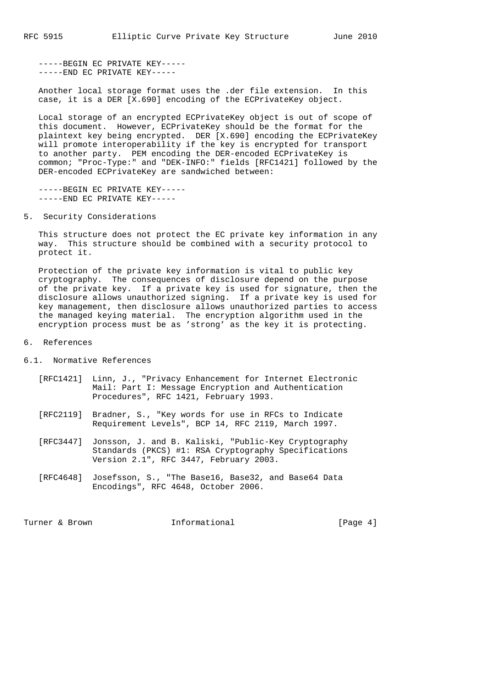-----BEGIN EC PRIVATE KEY----- -----END EC PRIVATE KEY-----

 Another local storage format uses the .der file extension. In this case, it is a DER [X.690] encoding of the ECPrivateKey object.

 Local storage of an encrypted ECPrivateKey object is out of scope of this document. However, ECPrivateKey should be the format for the plaintext key being encrypted. DER [X.690] encoding the ECPrivateKey will promote interoperability if the key is encrypted for transport to another party. PEM encoding the DER-encoded ECPrivateKey is common; "Proc-Type:" and "DEK-INFO:" fields [RFC1421] followed by the DER-encoded ECPrivateKey are sandwiched between:

 -----BEGIN EC PRIVATE KEY----- -----END EC PRIVATE KEY-----

5. Security Considerations

 This structure does not protect the EC private key information in any way. This structure should be combined with a security protocol to protect it.

 Protection of the private key information is vital to public key cryptography. The consequences of disclosure depend on the purpose of the private key. If a private key is used for signature, then the disclosure allows unauthorized signing. If a private key is used for key management, then disclosure allows unauthorized parties to access the managed keying material. The encryption algorithm used in the encryption process must be as 'strong' as the key it is protecting.

## 6. References

- 6.1. Normative References
	- [RFC1421] Linn, J., "Privacy Enhancement for Internet Electronic Mail: Part I: Message Encryption and Authentication Procedures", RFC 1421, February 1993.
	- [RFC2119] Bradner, S., "Key words for use in RFCs to Indicate Requirement Levels", BCP 14, RFC 2119, March 1997.
	- [RFC3447] Jonsson, J. and B. Kaliski, "Public-Key Cryptography Standards (PKCS) #1: RSA Cryptography Specifications Version 2.1", RFC 3447, February 2003.
	- [RFC4648] Josefsson, S., "The Base16, Base32, and Base64 Data Encodings", RFC 4648, October 2006.

Turner & Brown **Informational** [Page 4]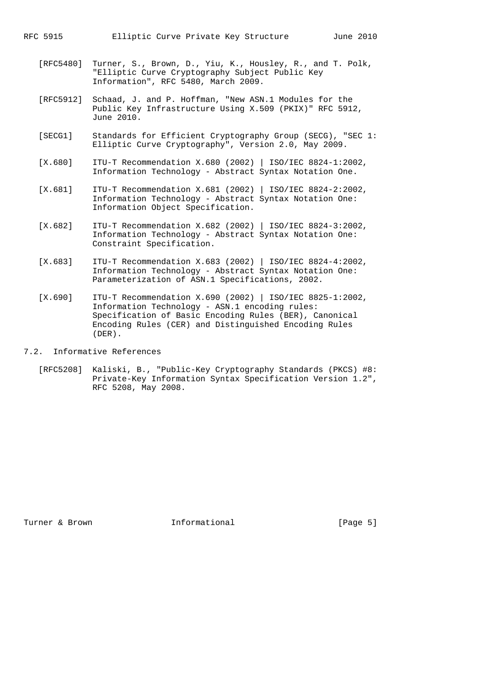- [RFC5480] Turner, S., Brown, D., Yiu, K., Housley, R., and T. Polk, "Elliptic Curve Cryptography Subject Public Key Information", RFC 5480, March 2009.
- [RFC5912] Schaad, J. and P. Hoffman, "New ASN.1 Modules for the Public Key Infrastructure Using X.509 (PKIX)" RFC 5912, June 2010.
- [SECG1] Standards for Efficient Cryptography Group (SECG), "SEC 1: Elliptic Curve Cryptography", Version 2.0, May 2009.
- [X.680] ITU-T Recommendation X.680 (2002) | ISO/IEC 8824-1:2002, Information Technology - Abstract Syntax Notation One.
- [X.681] ITU-T Recommendation X.681 (2002) | ISO/IEC 8824-2:2002, Information Technology - Abstract Syntax Notation One: Information Object Specification.
- [X.682] ITU-T Recommendation X.682 (2002) | ISO/IEC 8824-3:2002, Information Technology - Abstract Syntax Notation One: Constraint Specification.
- [X.683] ITU-T Recommendation X.683 (2002) | ISO/IEC 8824-4:2002, Information Technology - Abstract Syntax Notation One: Parameterization of ASN.1 Specifications, 2002.
	- [X.690] ITU-T Recommendation X.690 (2002) | ISO/IEC 8825-1:2002, Information Technology - ASN.1 encoding rules: Specification of Basic Encoding Rules (BER), Canonical Encoding Rules (CER) and Distinguished Encoding Rules (DER).
- 7.2. Informative References
	- [RFC5208] Kaliski, B., "Public-Key Cryptography Standards (PKCS) #8: Private-Key Information Syntax Specification Version 1.2", RFC 5208, May 2008.

Turner & Brown **Informational** [Page 5]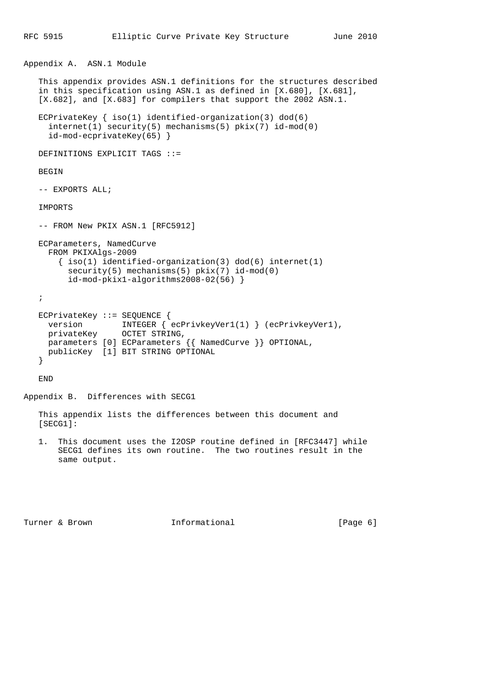```
Appendix A. ASN.1 Module
```
 This appendix provides ASN.1 definitions for the structures described in this specification using ASN.1 as defined in [X.680], [X.681], [X.682], and [X.683] for compilers that support the 2002 ASN.1. ECPrivateKey { iso(1) identified-organization(3) dod(6) internet(1) security(5) mechanisms(5) pkix(7) id-mod(0) id-mod-ecprivateKey(65) } DEFINITIONS EXPLICIT TAGS ::= BEGIN -- EXPORTS ALL; IMPORTS -- FROM New PKIX ASN.1 [RFC5912] ECParameters, NamedCurve FROM PKIXAlgs-2009 { iso(1) identified-organization(3) dod(6) internet(1) security(5) mechanisms(5) pkix(7) id-mod(0) id-mod-pkix1-algorithms2008-02(56) } ; ECPrivateKey ::= SEQUENCE { version INTEGER { ecPrivkeyVer1(1) } (ecPrivkeyVer1), version INTEGER { ecP<br>privateKey OCTET STRING, parameters [0] ECParameters {{ NamedCurve }} OPTIONAL, publicKey [1] BIT STRING OPTIONAL } END

Appendix B. Differences with SECG1

 This appendix lists the differences between this document and [SECG1]:

 1. This document uses the I2OSP routine defined in [RFC3447] while SECG1 defines its own routine. The two routines result in the same output.

Turner & Brown **Informational** [Page 6]